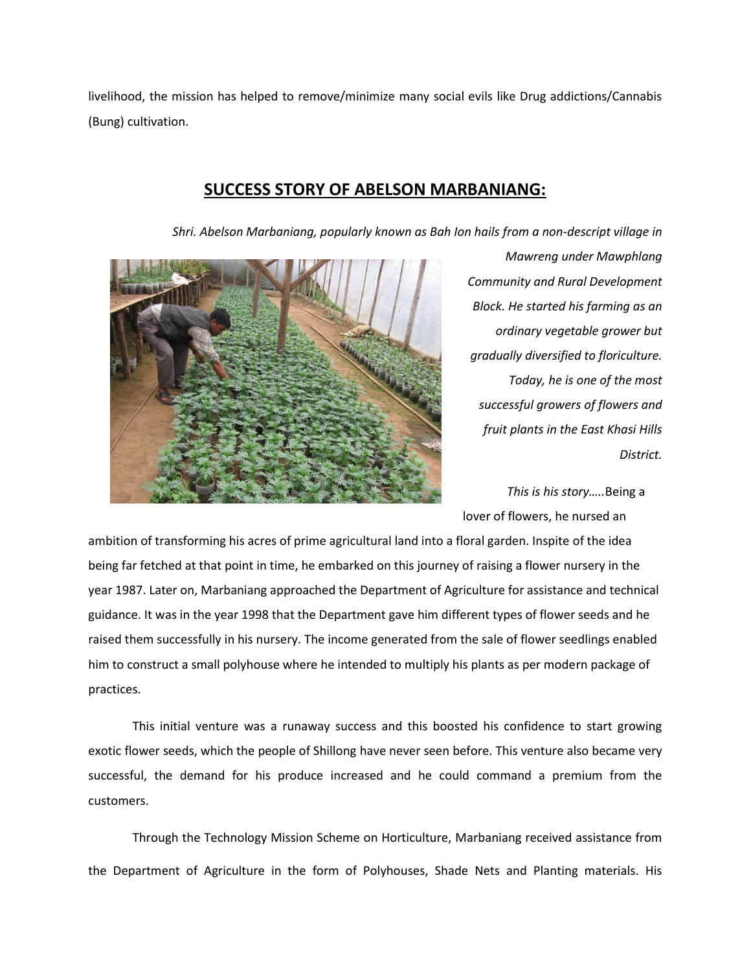## **SUCCESS STORY OF ABELSON MARBANIANG:**

*Shri. Abelson Marbaniang, popularly known as Bah Ion hails from a non-descript village in* 



*Mawreng under Mawphlang Community and Rural Development Block. He started his farming as an ordinary vegetable grower but gradually diversified to floriculture. Today, he is one of the most successful growers of flowers and fruit plants in the East Khasi Hills District.* 

*This is his story…..*Being a lover of flowers, he nursed an

ambition of transforming his acres of prime agricultural land into a floral garden. Inspite of the idea being far fetched at that point in time, he embarked on this journey of raising a flower nursery in the year 1987. Later on, Marbaniang approached the Department of Agriculture for assistance and technical guidance. It was in the year 1998 that the Department gave him different types of flower seeds and he raised them successfully in his nursery. The income generated from the sale of flower seedlings enabled him to construct a small polyhouse where he intended to multiply his plants as per modern package of practices.

This initial venture was a runaway success and this boosted his confidence to start growing exotic flower seeds, which the people of Shillong have never seen before. This venture also became very successful, the demand for his produce increased and he could command a premium from the customers.

Through the Technology Mission Scheme on Horticulture, Marbaniang received assistance from the Department of Agriculture in the form of Polyhouses, Shade Nets and Planting materials. His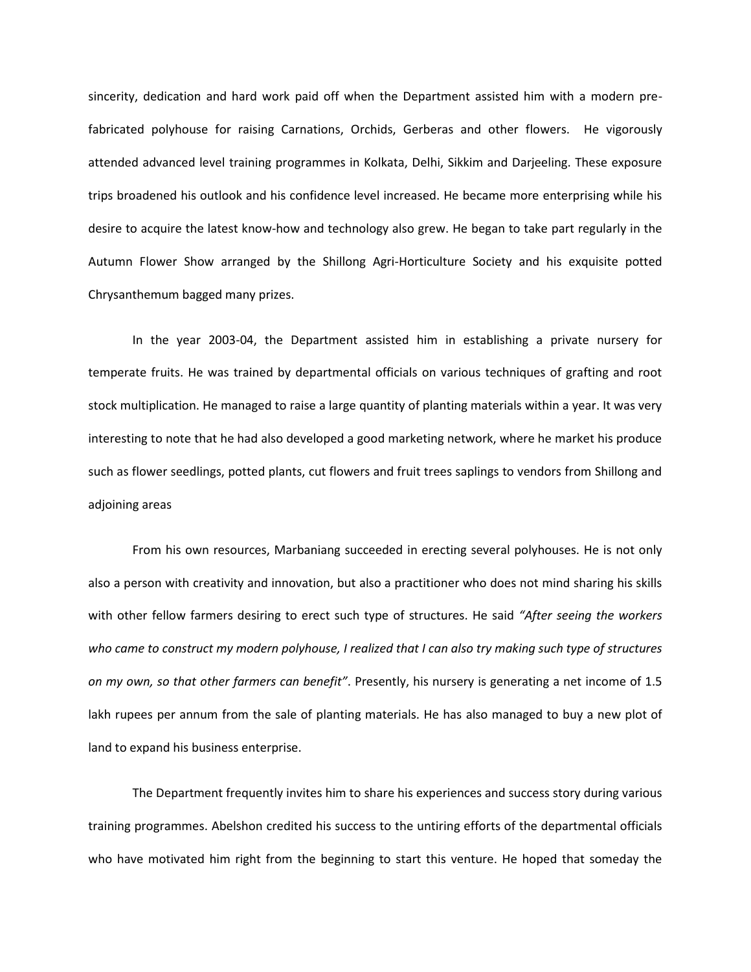sincerity, dedication and hard work paid off when the Department assisted him with a modern prefabricated polyhouse for raising Carnations, Orchids, Gerberas and other flowers. He vigorously attended advanced level training programmes in Kolkata, Delhi, Sikkim and Darjeeling. These exposure trips broadened his outlook and his confidence level increased. He became more enterprising while his desire to acquire the latest know-how and technology also grew. He began to take part regularly in the Autumn Flower Show arranged by the Shillong Agri-Horticulture Society and his exquisite potted Chrysanthemum bagged many prizes.

In the year 2003-04, the Department assisted him in establishing a private nursery for temperate fruits. He was trained by departmental officials on various techniques of grafting and root stock multiplication. He managed to raise a large quantity of planting materials within a year. It was very interesting to note that he had also developed a good marketing network, where he market his produce such as flower seedlings, potted plants, cut flowers and fruit trees saplings to vendors from Shillong and adjoining areas

From his own resources, Marbaniang succeeded in erecting several polyhouses. He is not only also a person with creativity and innovation, but also a practitioner who does not mind sharing his skills with other fellow farmers desiring to erect such type of structures. He said *"After seeing the workers who came to construct my modern polyhouse, I realized that I can also try making such type of structures on my own, so that other farmers can benefit"*. Presently, his nursery is generating a net income of 1.5 lakh rupees per annum from the sale of planting materials. He has also managed to buy a new plot of land to expand his business enterprise.

The Department frequently invites him to share his experiences and success story during various training programmes. Abelshon credited his success to the untiring efforts of the departmental officials who have motivated him right from the beginning to start this venture. He hoped that someday the